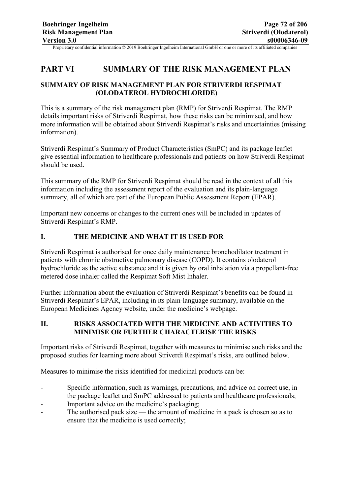# **PART VI SUMMARY OF THE RISK MANAGEMENT PLAN**

# **SUMMARY OF RISK MANAGEMENT PLAN FOR STRIVERDI RESPIMAT (OLODATEROL HYDROCHLORIDE)**

This is a summary of the risk management plan (RMP) for Striverdi Respimat. The RMP details important risks of Striverdi Respimat, how these risks can be minimised, and how more information will be obtained about Striverdi Respimat's risks and uncertainties (missing information).

Striverdi Respimat's Summary of Product Characteristics (SmPC) and its package leaflet give essential information to healthcare professionals and patients on how Striverdi Respimat should be used.

This summary of the RMP for Striverdi Respimat should be read in the context of all this information including the assessment report of the evaluation and its plain-language summary, all of which are part of the European Public Assessment Report (EPAR).

Important new concerns or changes to the current ones will be included in updates of Striverdi Respimat's RMP.

### **I. THE MEDICINE AND WHAT IT IS USED FOR**

Striverdi Respimat is authorised for once daily maintenance bronchodilator treatment in patients with chronic obstructive pulmonary disease (COPD). It contains olodaterol hydrochloride as the active substance and it is given by oral inhalation via a propellant-free metered dose inhaler called the Respimat Soft Mist Inhaler.

Further information about the evaluation of Striverdi Respimat's benefits can be found in Striverdi Respimat's EPAR, including in its plain-language summary, available on the European Medicines Agency website, under the medicine's webpage.

# **II. RISKS ASSOCIATED WITH THE MEDICINE AND ACTIVITIES TO MINIMISE OR FURTHER CHARACTERISE THE RISKS**

Important risks of Striverdi Respimat, together with measures to minimise such risks and the proposed studies for learning more about Striverdi Respimat's risks, are outlined below.

Measures to minimise the risks identified for medicinal products can be:

- Specific information, such as warnings, precautions, and advice on correct use, in the package leaflet and SmPC addressed to patients and healthcare professionals;
- Important advice on the medicine's packaging;
- The authorised pack size the amount of medicine in a pack is chosen so as to ensure that the medicine is used correctly;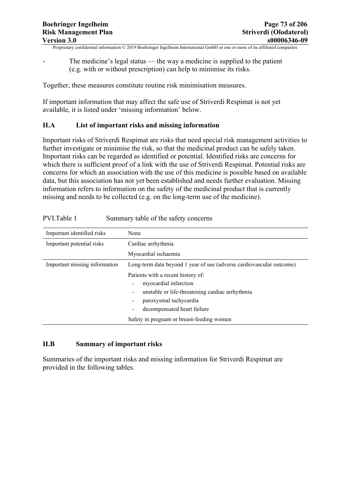The medicine's legal status — the way a medicine is supplied to the patient (e.g. with or without prescription) can help to minimise its risks.

Together, these measures constitute routine risk minimisation measures.

If important information that may affect the safe use of Striverdi Respimat is not yet available, it is listed under 'missing information' below.

### **II.A List of important risks and missing information**

Important risks of Striverdi Respimat are risks that need special risk management activities to further investigate or minimise the risk, so that the medicinal product can be safely taken. Important risks can be regarded as identified or potential. Identified risks are concerns for which there is sufficient proof of a link with the use of Striverdi Respimat. Potential risks are concerns for which an association with the use of this medicine is possible based on available data, but this association has not yet been established and needs further evaluation. Missing information refers to information on the safety of the medicinal product that is currently missing and needs to be collected (e.g. on the long-term use of the medicine).

| Important identified risks    | None                                                                 |  |
|-------------------------------|----------------------------------------------------------------------|--|
| Important potential risks     | Cardiac arrhythmia                                                   |  |
|                               | Myocardial ischaemia                                                 |  |
| Important missing information | Long-term data beyond 1 year of use (adverse cardiovascular outcome) |  |
|                               | Patients with a recent history of:                                   |  |
|                               | myocardial infarction                                                |  |
|                               | unstable or life-threatening cardiac arrhythmia<br>-                 |  |
|                               | paroxysmal tachycardia<br>-                                          |  |
|                               | decompensated heart failure<br>$\overline{\phantom{0}}$              |  |
|                               | Safety in pregnant or breast-feeding women                           |  |

# **II.B Summary of important risks**

Summaries of the important risks and missing information for Striverdi Respimat are provided in the following tables.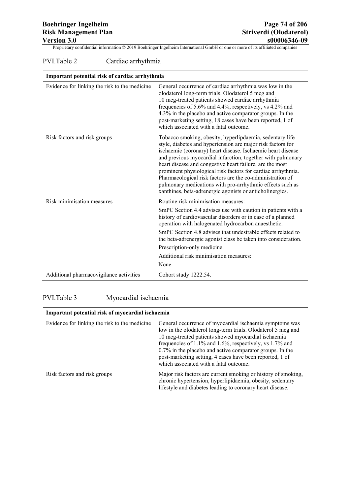# PVI.Table 2 Cardiac arrhythmia

| Important potential risk of cardiac arrhythmia |                                                                                                                                                                                                                                                                                                                                                                                                                                                                                                                                                                         |
|------------------------------------------------|-------------------------------------------------------------------------------------------------------------------------------------------------------------------------------------------------------------------------------------------------------------------------------------------------------------------------------------------------------------------------------------------------------------------------------------------------------------------------------------------------------------------------------------------------------------------------|
| Evidence for linking the risk to the medicine  | General occurrence of cardiac arrhythmia was low in the<br>olodaterol long-term trials. Olodaterol 5 mcg and<br>10 mcg-treated patients showed cardiac arrhythmia<br>frequencies of 5.6% and 4.4%, respectively, vs 4.2% and<br>4.3% in the placebo and active comparator groups. In the<br>post-marketing setting, 18 cases have been reported, 1 of<br>which associated with a fatal outcome.                                                                                                                                                                         |
| Risk factors and risk groups                   | Tobacco smoking, obesity, hyperlipdaemia, sedentary life<br>style, diabetes and hypertension are major risk factors for<br>ischaemic (coronary) heart disease. Ischaemic heart disease<br>and previous myocardial infarction, together with pulmonary<br>heart disease and congestive heart failure, are the most<br>prominent physiological risk factors for cardiac arrhythmia.<br>Pharmacological risk factors are the co-administration of<br>pulmonary medications with pro-arrhythmic effects such as<br>xanthines, beta-adrenergic agonists or anticholinergics. |
| Risk minimisation measures                     | Routine risk minimisation measures:<br>SmPC Section 4.4 advises use with caution in patients with a<br>history of cardiovascular disorders or in case of a planned<br>operation with halogenated hydrocarbon anaesthetic.<br>SmPC Section 4.8 advises that undesirable effects related to                                                                                                                                                                                                                                                                               |
|                                                | the beta-adrenergic agonist class be taken into consideration.                                                                                                                                                                                                                                                                                                                                                                                                                                                                                                          |
|                                                | Prescription-only medicine.                                                                                                                                                                                                                                                                                                                                                                                                                                                                                                                                             |
|                                                | Additional risk minimisation measures:                                                                                                                                                                                                                                                                                                                                                                                                                                                                                                                                  |
|                                                | None.                                                                                                                                                                                                                                                                                                                                                                                                                                                                                                                                                                   |
| Additional pharmacovigilance activities        | Cohort study 1222.54.                                                                                                                                                                                                                                                                                                                                                                                                                                                                                                                                                   |

# PVI.Table 3 Myocardial ischaemia

| Important potential risk of myocardial ischaemia |                                                                                                                                                                                                                                                                                                                                                                                                                    |
|--------------------------------------------------|--------------------------------------------------------------------------------------------------------------------------------------------------------------------------------------------------------------------------------------------------------------------------------------------------------------------------------------------------------------------------------------------------------------------|
| Evidence for linking the risk to the medicine    | General occurrence of myocardial ischaemia symptoms was<br>low in the olodaterol long-term trials. Olodaterol 5 mcg and<br>10 mcg-treated patients showed myocardial ischaemia<br>frequencies of $1.1\%$ and $1.6\%$ , respectively, vs 1.7% and<br>0.7% in the placebo and active comparator groups. In the<br>post-marketing setting, 4 cases have been reported, 1 of<br>which associated with a fatal outcome. |
| Risk factors and risk groups                     | Major risk factors are current smoking or history of smoking,<br>chronic hypertension, hyperlipidaemia, obesity, sedentary<br>lifestyle and diabetes leading to coronary heart disease.                                                                                                                                                                                                                            |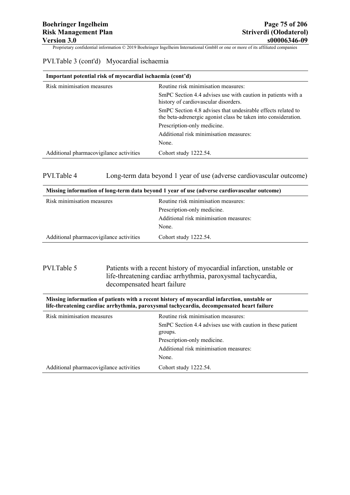|  | PVI.Table 3 (cont'd) Myocardial ischaemia |  |
|--|-------------------------------------------|--|
|  |                                           |  |

| Important potential risk of myocardial ischaemia (cont'd) |                                                                                                                                |
|-----------------------------------------------------------|--------------------------------------------------------------------------------------------------------------------------------|
| Risk minimisation measures                                | Routine risk minimisation measures:                                                                                            |
|                                                           | SmPC Section 4.4 advises use with caution in patients with a<br>history of cardiovascular disorders.                           |
|                                                           | SmPC Section 4.8 advises that undesirable effects related to<br>the beta-adrenergic agonist class be taken into consideration. |
|                                                           | Prescription-only medicine.                                                                                                    |
|                                                           | Additional risk minimisation measures:                                                                                         |
|                                                           | None.                                                                                                                          |
| Additional pharmacovigilance activities                   | Cohort study 1222.54.                                                                                                          |

#### PVI.Table 4 Long-term data beyond 1 year of use (adverse cardiovascular outcome)

| Missing information of long-term data beyond 1 year of use (adverse cardiovascular outcome) |                                        |
|---------------------------------------------------------------------------------------------|----------------------------------------|
| Risk minimisation measures                                                                  | Routine risk minimisation measures:    |
|                                                                                             | Prescription-only medicine.            |
|                                                                                             | Additional risk minimisation measures: |
|                                                                                             | None.                                  |
| Additional pharmacovigilance activities                                                     | Cohort study 1222.54.                  |

### PVI.Table 5 Patients with a recent history of myocardial infarction, unstable or life-threatening cardiac arrhythmia, paroxysmal tachycardia, decompensated heart failure

| Missing information of patients with a recent history of myocardial infarction, unstable or<br>life-threatening cardiac arrhythmia, paroxysmal tachycardia, decompensated heart failure |                                                                       |
|-----------------------------------------------------------------------------------------------------------------------------------------------------------------------------------------|-----------------------------------------------------------------------|
| Risk minimisation measures                                                                                                                                                              | Routine risk minimisation measures:                                   |
|                                                                                                                                                                                         | SmPC Section 4.4 advises use with caution in these patient<br>groups. |
|                                                                                                                                                                                         | Prescription-only medicine.                                           |
|                                                                                                                                                                                         | Additional risk minimisation measures:                                |
|                                                                                                                                                                                         | None.                                                                 |
| Additional pharmacovigilance activities                                                                                                                                                 | Cohort study 1222.54.                                                 |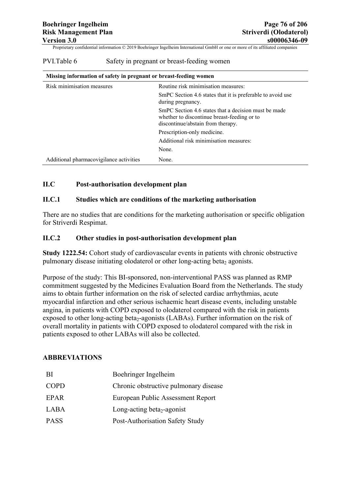| Missing information of safety in pregnant or breast-feeding women |                                                                                                                                          |
|-------------------------------------------------------------------|------------------------------------------------------------------------------------------------------------------------------------------|
| Risk minimisation measures                                        | Routine risk minimisation measures:                                                                                                      |
|                                                                   | SmPC Section 4.6 states that it is preferable to avoid use<br>during pregnancy.                                                          |
|                                                                   | SmPC Section 4.6 states that a decision must be made<br>whether to discontinue breast-feeding or to<br>discontinue/abstain from therapy. |
|                                                                   | Prescription-only medicine.                                                                                                              |
|                                                                   | Additional risk minimisation measures:                                                                                                   |
|                                                                   | None.                                                                                                                                    |
| Additional pharmacovigilance activities                           | None.                                                                                                                                    |

#### PVI.Table 6 Safety in pregnant or breast-feeding women

### **II.C Post-authorisation development plan**

#### **II.C.1 Studies which are conditions of the marketing authorisation**

There are no studies that are conditions for the marketing authorisation or specific obligation for Striverdi Respimat.

#### **II.C.2 Other studies in post-authorisation development plan**

**Study 1222.54:** Cohort study of cardiovascular events in patients with chronic obstructive pulmonary disease initiating olodaterol or other long-acting beta<sub>2</sub> agonists.

Purpose of the study: This BI-sponsored, non-interventional PASS was planned as RMP commitment suggested by the Medicines Evaluation Board from the Netherlands. The study aims to obtain further information on the risk of selected cardiac arrhythmias, acute myocardial infarction and other serious ischaemic heart disease events, including unstable angina, in patients with COPD exposed to olodaterol compared with the risk in patients exposed to other long-acting beta<sub>2</sub>-agonists (LABAs). Further information on the risk of overall mortality in patients with COPD exposed to olodaterol compared with the risk in patients exposed to other LABAs will also be collected.

### **ABBREVIATIONS**

| <sup>BI</sup> | Boehringer Ingelheim                   |
|---------------|----------------------------------------|
| <b>COPD</b>   | Chronic obstructive pulmonary disease  |
| EPAR          | European Public Assessment Report      |
| LABA          | Long-acting beta <sub>2</sub> -agonist |
| <b>PASS</b>   | Post-Authorisation Safety Study        |